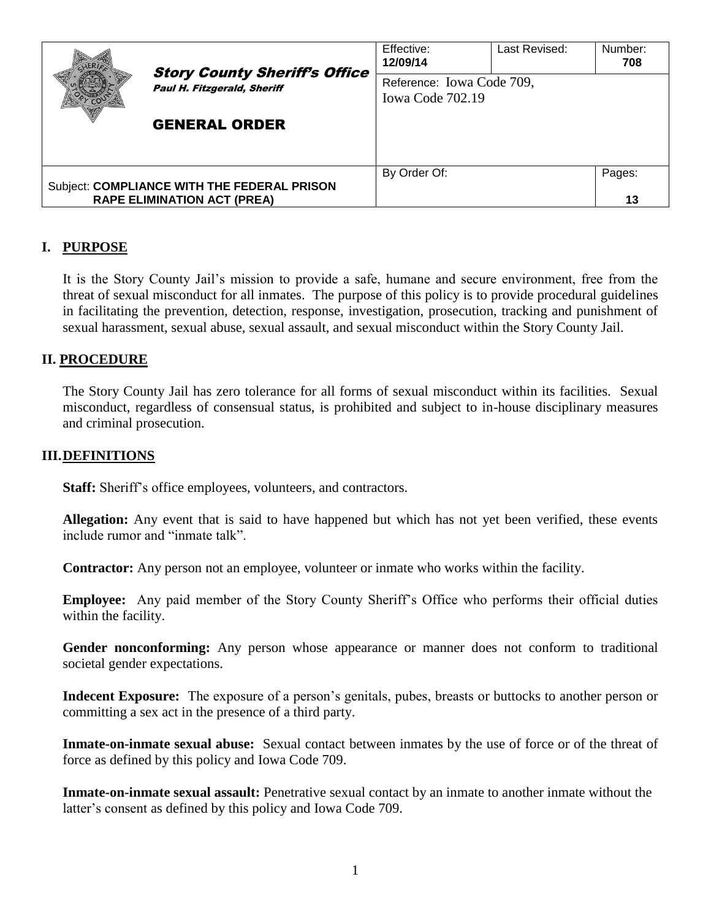|                                                                                   | <b>Story County Sheriff's Office</b><br>Paul H. Fitzgerald, Sheriff | Effective:<br>12/09/14                        | Last Revised: | Number:<br>708 |
|-----------------------------------------------------------------------------------|---------------------------------------------------------------------|-----------------------------------------------|---------------|----------------|
|                                                                                   |                                                                     | Reference: Iowa Code 709,<br>Iowa Code 702.19 |               |                |
|                                                                                   | <b>GENERAL ORDER</b>                                                |                                               |               |                |
| Subject: COMPLIANCE WITH THE FEDERAL PRISON<br><b>RAPE ELIMINATION ACT (PREA)</b> |                                                                     | By Order Of:                                  |               | Pages:<br>13   |

# **I. PURPOSE**

It is the Story County Jail's mission to provide a safe, humane and secure environment, free from the threat of sexual misconduct for all inmates. The purpose of this policy is to provide procedural guidelines in facilitating the prevention, detection, response, investigation, prosecution, tracking and punishment of sexual harassment, sexual abuse, sexual assault, and sexual misconduct within the Story County Jail.

### **II. PROCEDURE**

The Story County Jail has zero tolerance for all forms of sexual misconduct within its facilities. Sexual misconduct, regardless of consensual status, is prohibited and subject to in-house disciplinary measures and criminal prosecution.

#### **III.DEFINITIONS**

**Staff:** Sheriff's office employees, volunteers, and contractors.

**Allegation:** Any event that is said to have happened but which has not yet been verified, these events include rumor and "inmate talk".

**Contractor:** Any person not an employee, volunteer or inmate who works within the facility.

**Employee:** Any paid member of the Story County Sheriff's Office who performs their official duties within the facility.

Gender nonconforming: Any person whose appearance or manner does not conform to traditional societal gender expectations.

**Indecent Exposure:** The exposure of a person's genitals, pubes, breasts or buttocks to another person or committing a sex act in the presence of a third party.

**Inmate-on-inmate sexual abuse:** Sexual contact between inmates by the use of force or of the threat of force as defined by this policy and Iowa Code 709.

**Inmate-on-inmate sexual assault:** Penetrative sexual contact by an inmate to another inmate without the latter's consent as defined by this policy and Iowa Code 709.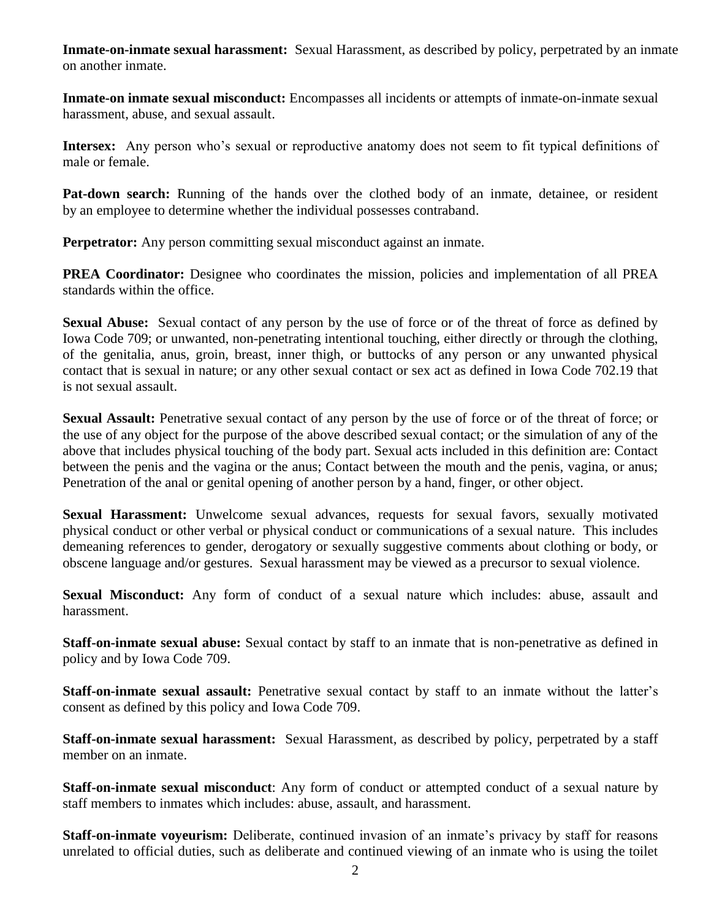**Inmate-on-inmate sexual harassment:** Sexual Harassment, as described by policy, perpetrated by an inmate on another inmate.

**Inmate-on inmate sexual misconduct:** Encompasses all incidents or attempts of inmate-on-inmate sexual harassment, abuse, and sexual assault.

**Intersex:** Any person who's sexual or reproductive anatomy does not seem to fit typical definitions of male or female.

**Pat-down search:** Running of the hands over the clothed body of an inmate, detainee, or resident by an employee to determine whether the individual possesses contraband.

**Perpetrator:** Any person committing sexual misconduct against an inmate.

**PREA Coordinator:** Designee who coordinates the mission, policies and implementation of all PREA standards within the office.

**Sexual Abuse:** Sexual contact of any person by the use of force or of the threat of force as defined by Iowa Code 709; or unwanted, non-penetrating intentional touching, either directly or through the clothing, of the genitalia, anus, groin, breast, inner thigh, or buttocks of any person or any unwanted physical contact that is sexual in nature; or any other sexual contact or sex act as defined in Iowa Code 702.19 that is not sexual assault.

**Sexual Assault:** Penetrative sexual contact of any person by the use of force or of the threat of force; or the use of any object for the purpose of the above described sexual contact; or the simulation of any of the above that includes physical touching of the body part. Sexual acts included in this definition are: Contact between the penis and the vagina or the anus; Contact between the mouth and the penis, vagina, or anus; Penetration of the anal or genital opening of another person by a hand, finger, or other object.

**Sexual Harassment:** Unwelcome sexual advances, requests for sexual favors, sexually motivated physical conduct or other verbal or physical conduct or communications of a sexual nature. This includes demeaning references to gender, derogatory or sexually suggestive comments about clothing or body, or obscene language and/or gestures. Sexual harassment may be viewed as a precursor to sexual violence.

**Sexual Misconduct:** Any form of conduct of a sexual nature which includes: abuse, assault and harassment.

**Staff-on-inmate sexual abuse:** Sexual contact by staff to an inmate that is non-penetrative as defined in policy and by Iowa Code 709.

**Staff-on-inmate sexual assault:** Penetrative sexual contact by staff to an inmate without the latter's consent as defined by this policy and Iowa Code 709.

**Staff-on-inmate sexual harassment:** Sexual Harassment, as described by policy, perpetrated by a staff member on an inmate.

**Staff-on-inmate sexual misconduct**: Any form of conduct or attempted conduct of a sexual nature by staff members to inmates which includes: abuse, assault, and harassment.

**Staff-on-inmate voyeurism:** Deliberate, continued invasion of an inmate's privacy by staff for reasons unrelated to official duties, such as deliberate and continued viewing of an inmate who is using the toilet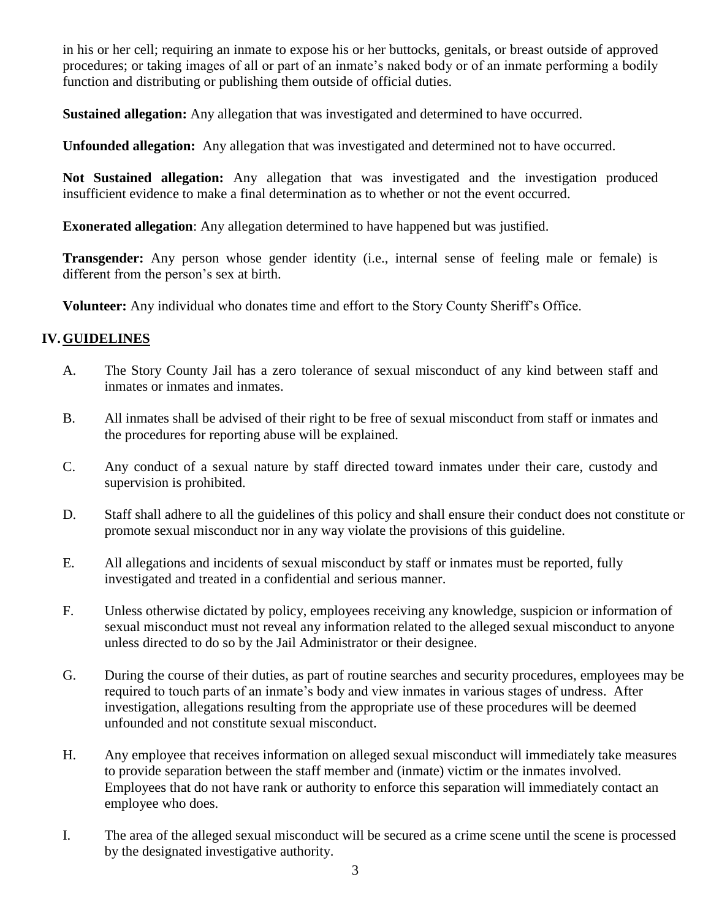in his or her cell; requiring an inmate to expose his or her buttocks, genitals, or breast outside of approved procedures; or taking images of all or part of an inmate's naked body or of an inmate performing a bodily function and distributing or publishing them outside of official duties.

**Sustained allegation:** Any allegation that was investigated and determined to have occurred.

**Unfounded allegation:** Any allegation that was investigated and determined not to have occurred.

**Not Sustained allegation:** Any allegation that was investigated and the investigation produced insufficient evidence to make a final determination as to whether or not the event occurred.

**Exonerated allegation**: Any allegation determined to have happened but was justified.

**Transgender:** Any person whose gender identity (i.e., internal sense of feeling male or female) is different from the person's sex at birth.

**Volunteer:** Any individual who donates time and effort to the Story County Sheriff's Office.

## **IV.GUIDELINES**

- A. The Story County Jail has a zero tolerance of sexual misconduct of any kind between staff and inmates or inmates and inmates.
- B. All inmates shall be advised of their right to be free of sexual misconduct from staff or inmates and the procedures for reporting abuse will be explained.
- C. Any conduct of a sexual nature by staff directed toward inmates under their care, custody and supervision is prohibited.
- D. Staff shall adhere to all the guidelines of this policy and shall ensure their conduct does not constitute or promote sexual misconduct nor in any way violate the provisions of this guideline.
- E. All allegations and incidents of sexual misconduct by staff or inmates must be reported, fully investigated and treated in a confidential and serious manner.
- F. Unless otherwise dictated by policy, employees receiving any knowledge, suspicion or information of sexual misconduct must not reveal any information related to the alleged sexual misconduct to anyone unless directed to do so by the Jail Administrator or their designee.
- G. During the course of their duties, as part of routine searches and security procedures, employees may be required to touch parts of an inmate's body and view inmates in various stages of undress. After investigation, allegations resulting from the appropriate use of these procedures will be deemed unfounded and not constitute sexual misconduct.
- H. Any employee that receives information on alleged sexual misconduct will immediately take measures to provide separation between the staff member and (inmate) victim or the inmates involved. Employees that do not have rank or authority to enforce this separation will immediately contact an employee who does.
- I. The area of the alleged sexual misconduct will be secured as a crime scene until the scene is processed by the designated investigative authority.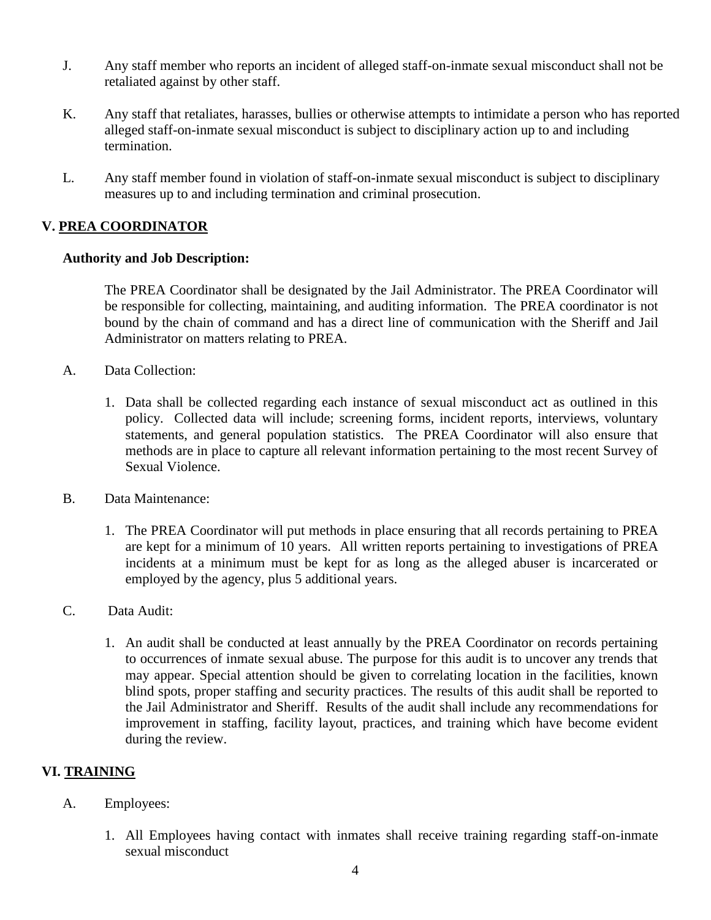- J. Any staff member who reports an incident of alleged staff-on-inmate sexual misconduct shall not be retaliated against by other staff.
- K. Any staff that retaliates, harasses, bullies or otherwise attempts to intimidate a person who has reported alleged staff-on-inmate sexual misconduct is subject to disciplinary action up to and including termination.
- L. Any staff member found in violation of staff-on-inmate sexual misconduct is subject to disciplinary measures up to and including termination and criminal prosecution.

## **V. PREA COORDINATOR**

#### **Authority and Job Description:**

The PREA Coordinator shall be designated by the Jail Administrator. The PREA Coordinator will be responsible for collecting, maintaining, and auditing information. The PREA coordinator is not bound by the chain of command and has a direct line of communication with the Sheriff and Jail Administrator on matters relating to PREA.

- A. Data Collection:
	- 1. Data shall be collected regarding each instance of sexual misconduct act as outlined in this policy. Collected data will include; screening forms, incident reports, interviews, voluntary statements, and general population statistics. The PREA Coordinator will also ensure that methods are in place to capture all relevant information pertaining to the most recent Survey of Sexual Violence.
- B. Data Maintenance:
	- 1. The PREA Coordinator will put methods in place ensuring that all records pertaining to PREA are kept for a minimum of 10 years. All written reports pertaining to investigations of PREA incidents at a minimum must be kept for as long as the alleged abuser is incarcerated or employed by the agency, plus 5 additional years.
- C. Data Audit:
	- 1. An audit shall be conducted at least annually by the PREA Coordinator on records pertaining to occurrences of inmate sexual abuse. The purpose for this audit is to uncover any trends that may appear. Special attention should be given to correlating location in the facilities, known blind spots, proper staffing and security practices. The results of this audit shall be reported to the Jail Administrator and Sheriff. Results of the audit shall include any recommendations for improvement in staffing, facility layout, practices, and training which have become evident during the review.

## **VI. TRAINING**

- A. Employees:
	- 1. All Employees having contact with inmates shall receive training regarding staff-on-inmate sexual misconduct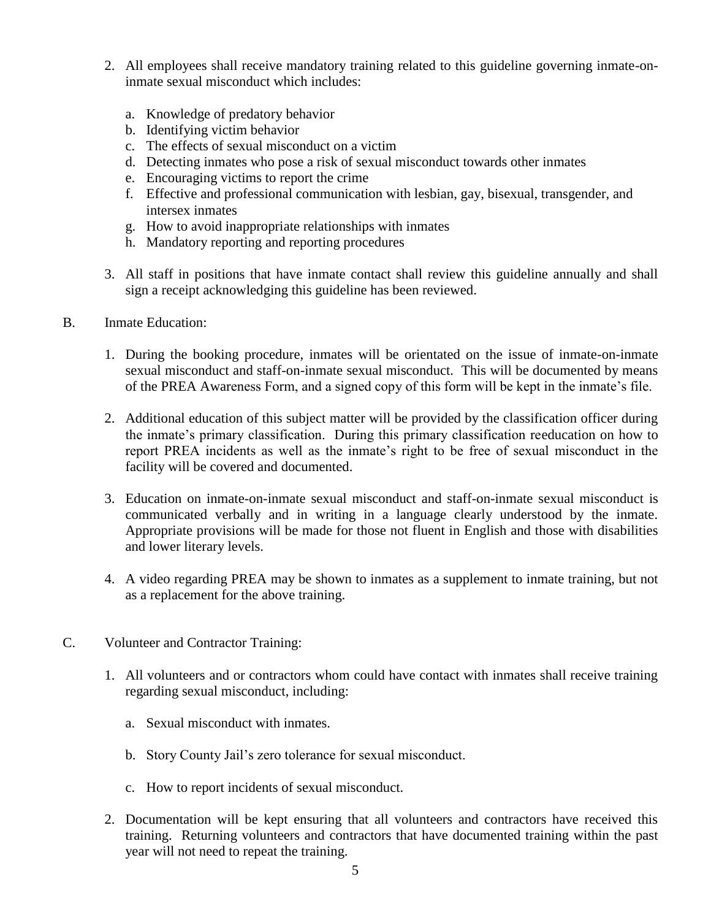- 2. All employees shall receive mandatory training related to this guideline governing inmate-oninmate sexual misconduct which includes:
	- a. Knowledge of predatory behavior
	- b. Identifying victim behavior
	- c. The effects of sexual misconduct on a victim
	- d. Detecting inmates who pose a risk of sexual misconduct towards other inmates
	- e. Encouraging victims to report the crime
	- f. Effective and professional communication with lesbian, gay, bisexual, transgender, and intersex inmates
	- g. How to avoid inappropriate relationships with inmates
	- h. Mandatory reporting and reporting procedures
- 3. All staff in positions that have inmate contact shall review this guideline annually and shall sign a receipt acknowledging this guideline has been reviewed.
- B. Inmate Education:
	- 1. During the booking procedure, inmates will be orientated on the issue of inmate-on-inmate sexual misconduct and staff-on-inmate sexual misconduct. This will be documented by means of the PREA Awareness Form, and a signed copy of this form will be kept in the inmate's file.
	- 2. Additional education of this subject matter will be provided by the classification officer during the inmate's primary classification. During this primary classification reeducation on how to report PREA incidents as well as the inmate's right to be free of sexual misconduct in the facility will be covered and documented.
	- 3. Education on inmate-on-inmate sexual misconduct and staff-on-inmate sexual misconduct is communicated verbally and in writing in a language clearly understood by the inmate. Appropriate provisions will be made for those not fluent in English and those with disabilities and lower literary levels.
	- 4. A video regarding PREA may be shown to inmates as a supplement to inmate training, but not as a replacement for the above training.
- C. Volunteer and Contractor Training:
	- 1. All volunteers and or contractors whom could have contact with inmates shall receive training regarding sexual misconduct, including:
		- a. Sexual misconduct with inmates.
		- b. Story County Jail's zero tolerance for sexual misconduct.
		- c. How to report incidents of sexual misconduct.
	- 2. Documentation will be kept ensuring that all volunteers and contractors have received this training. Returning volunteers and contractors that have documented training within the past year will not need to repeat the training.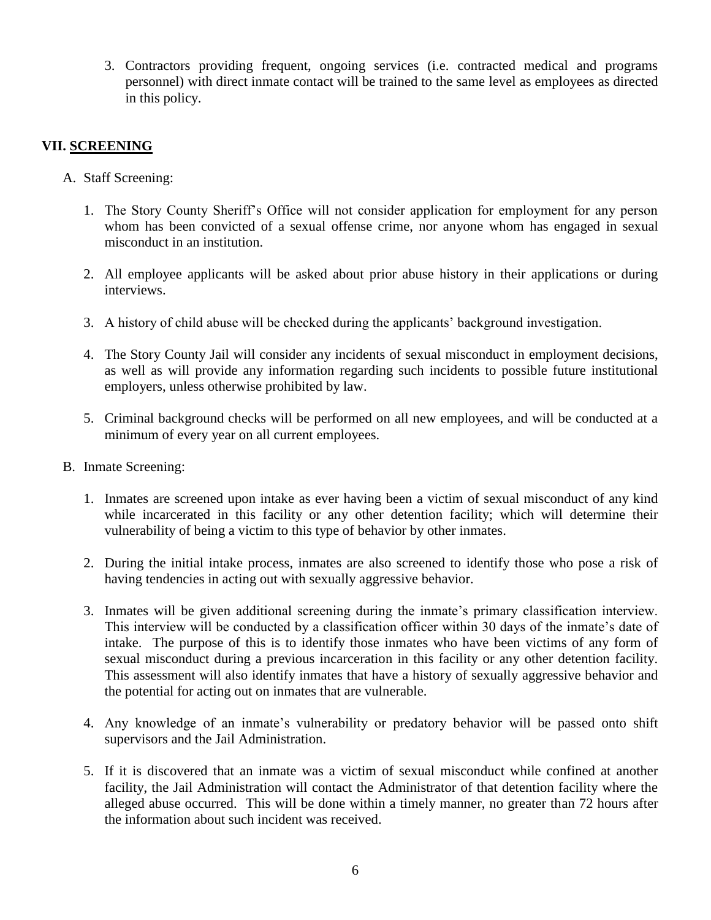3. Contractors providing frequent, ongoing services (i.e. contracted medical and programs personnel) with direct inmate contact will be trained to the same level as employees as directed in this policy.

## **VII. SCREENING**

- A. Staff Screening:
	- 1. The Story County Sheriff's Office will not consider application for employment for any person whom has been convicted of a sexual offense crime, nor anyone whom has engaged in sexual misconduct in an institution.
	- 2. All employee applicants will be asked about prior abuse history in their applications or during interviews.
	- 3. A history of child abuse will be checked during the applicants' background investigation.
	- 4. The Story County Jail will consider any incidents of sexual misconduct in employment decisions, as well as will provide any information regarding such incidents to possible future institutional employers, unless otherwise prohibited by law.
	- 5. Criminal background checks will be performed on all new employees, and will be conducted at a minimum of every year on all current employees.
- B. Inmate Screening:
	- 1. Inmates are screened upon intake as ever having been a victim of sexual misconduct of any kind while incarcerated in this facility or any other detention facility; which will determine their vulnerability of being a victim to this type of behavior by other inmates.
	- 2. During the initial intake process, inmates are also screened to identify those who pose a risk of having tendencies in acting out with sexually aggressive behavior.
	- 3. Inmates will be given additional screening during the inmate's primary classification interview. This interview will be conducted by a classification officer within 30 days of the inmate's date of intake. The purpose of this is to identify those inmates who have been victims of any form of sexual misconduct during a previous incarceration in this facility or any other detention facility. This assessment will also identify inmates that have a history of sexually aggressive behavior and the potential for acting out on inmates that are vulnerable.
	- 4. Any knowledge of an inmate's vulnerability or predatory behavior will be passed onto shift supervisors and the Jail Administration.
	- 5. If it is discovered that an inmate was a victim of sexual misconduct while confined at another facility, the Jail Administration will contact the Administrator of that detention facility where the alleged abuse occurred. This will be done within a timely manner, no greater than 72 hours after the information about such incident was received.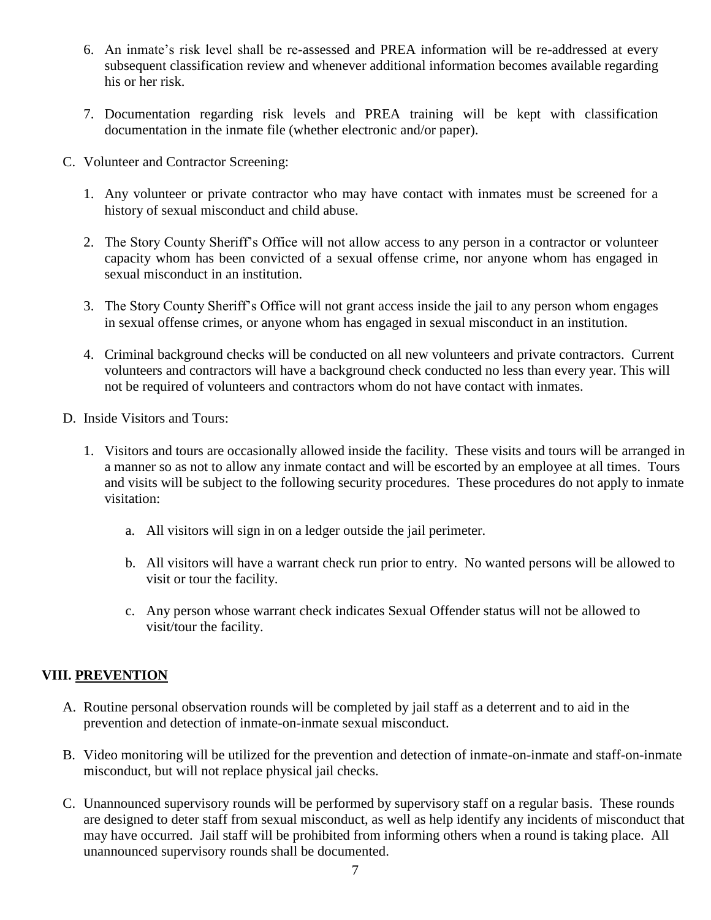- 6. An inmate's risk level shall be re-assessed and PREA information will be re-addressed at every subsequent classification review and whenever additional information becomes available regarding his or her risk.
- 7. Documentation regarding risk levels and PREA training will be kept with classification documentation in the inmate file (whether electronic and/or paper).
- C. Volunteer and Contractor Screening:
	- 1. Any volunteer or private contractor who may have contact with inmates must be screened for a history of sexual misconduct and child abuse.
	- 2. The Story County Sheriff's Office will not allow access to any person in a contractor or volunteer capacity whom has been convicted of a sexual offense crime, nor anyone whom has engaged in sexual misconduct in an institution.
	- 3. The Story County Sheriff's Office will not grant access inside the jail to any person whom engages in sexual offense crimes, or anyone whom has engaged in sexual misconduct in an institution.
	- 4. Criminal background checks will be conducted on all new volunteers and private contractors. Current volunteers and contractors will have a background check conducted no less than every year. This will not be required of volunteers and contractors whom do not have contact with inmates.
- D. Inside Visitors and Tours:
	- 1. Visitors and tours are occasionally allowed inside the facility. These visits and tours will be arranged in a manner so as not to allow any inmate contact and will be escorted by an employee at all times. Tours and visits will be subject to the following security procedures. These procedures do not apply to inmate visitation:
		- a. All visitors will sign in on a ledger outside the jail perimeter.
		- b. All visitors will have a warrant check run prior to entry. No wanted persons will be allowed to visit or tour the facility.
		- c. Any person whose warrant check indicates Sexual Offender status will not be allowed to visit/tour the facility.

# **VIII. PREVENTION**

- A. Routine personal observation rounds will be completed by jail staff as a deterrent and to aid in the prevention and detection of inmate-on-inmate sexual misconduct.
- B. Video monitoring will be utilized for the prevention and detection of inmate-on-inmate and staff-on-inmate misconduct, but will not replace physical jail checks.
- C. Unannounced supervisory rounds will be performed by supervisory staff on a regular basis. These rounds are designed to deter staff from sexual misconduct, as well as help identify any incidents of misconduct that may have occurred. Jail staff will be prohibited from informing others when a round is taking place. All unannounced supervisory rounds shall be documented.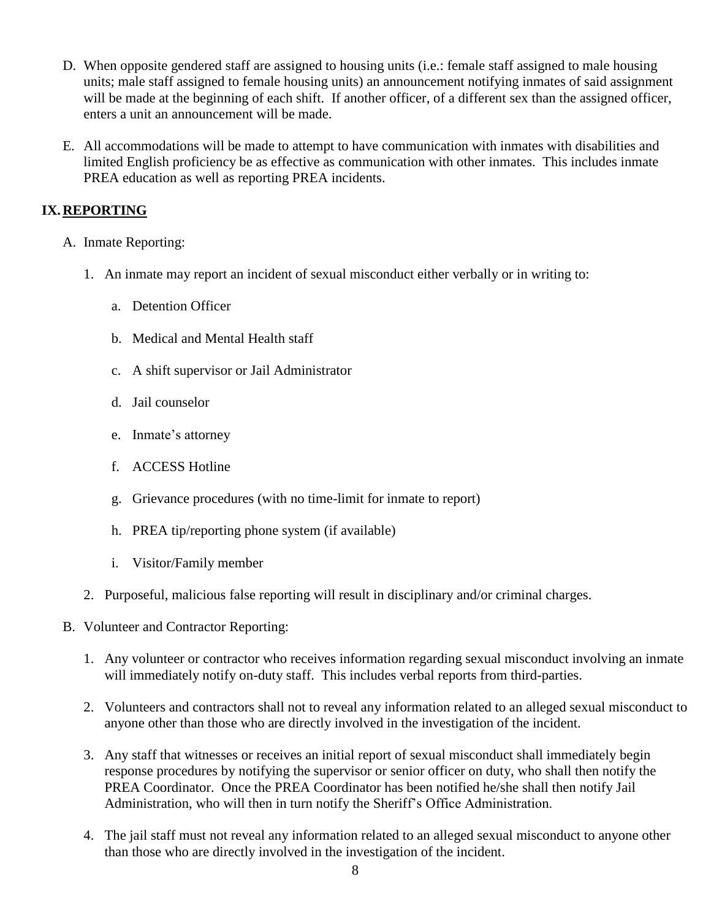- D. When opposite gendered staff are assigned to housing units (i.e.: female staff assigned to male housing units; male staff assigned to female housing units) an announcement notifying inmates of said assignment will be made at the beginning of each shift. If another officer, of a different sex than the assigned officer, enters a unit an announcement will be made.
- E. All accommodations will be made to attempt to have communication with inmates with disabilities and limited English proficiency be as effective as communication with other inmates. This includes inmate PREA education as well as reporting PREA incidents.

# **IX.REPORTING**

- A. Inmate Reporting:
	- 1. An inmate may report an incident of sexual misconduct either verbally or in writing to:
		- a. Detention Officer
		- b. Medical and Mental Health staff
		- c. A shift supervisor or Jail Administrator
		- d. Jail counselor
		- e. Inmate's attorney
		- f. ACCESS Hotline
		- g. Grievance procedures (with no time-limit for inmate to report)
		- h. PREA tip/reporting phone system (if available)
		- i. Visitor/Family member
	- 2. Purposeful, malicious false reporting will result in disciplinary and/or criminal charges.
- B. Volunteer and Contractor Reporting:
	- 1. Any volunteer or contractor who receives information regarding sexual misconduct involving an inmate will immediately notify on-duty staff. This includes verbal reports from third-parties.
	- 2. Volunteers and contractors shall not to reveal any information related to an alleged sexual misconduct to anyone other than those who are directly involved in the investigation of the incident.
	- 3. Any staff that witnesses or receives an initial report of sexual misconduct shall immediately begin response procedures by notifying the supervisor or senior officer on duty, who shall then notify the PREA Coordinator. Once the PREA Coordinator has been notified he/she shall then notify Jail Administration, who will then in turn notify the Sheriff's Office Administration.
	- 4. The jail staff must not reveal any information related to an alleged sexual misconduct to anyone other than those who are directly involved in the investigation of the incident.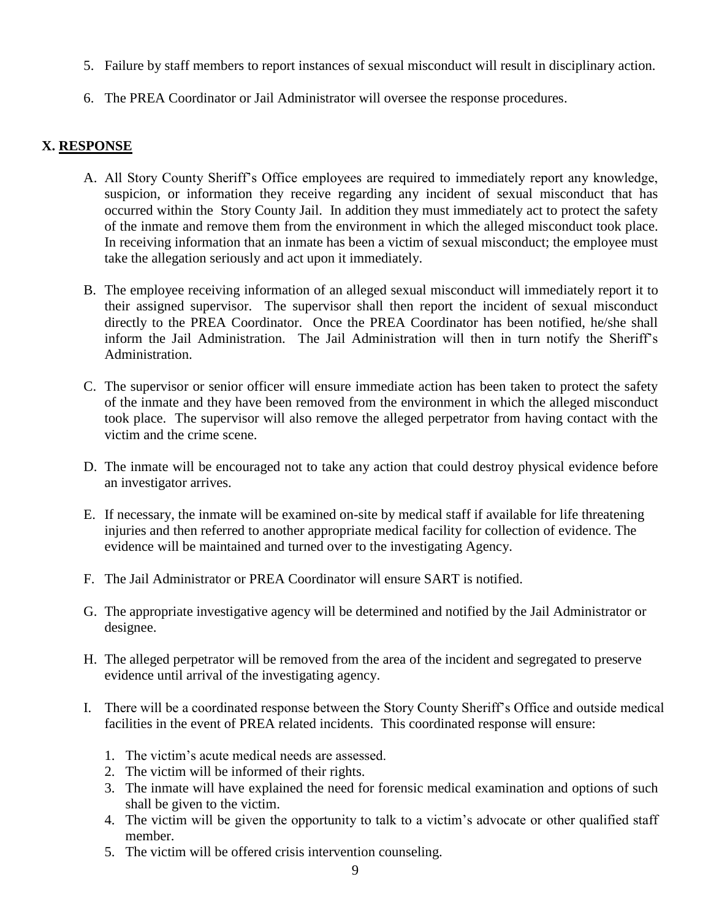- 5. Failure by staff members to report instances of sexual misconduct will result in disciplinary action.
- 6. The PREA Coordinator or Jail Administrator will oversee the response procedures.

### **X. RESPONSE**

- A. All Story County Sheriff's Office employees are required to immediately report any knowledge, suspicion, or information they receive regarding any incident of sexual misconduct that has occurred within the Story County Jail. In addition they must immediately act to protect the safety of the inmate and remove them from the environment in which the alleged misconduct took place. In receiving information that an inmate has been a victim of sexual misconduct; the employee must take the allegation seriously and act upon it immediately.
- B. The employee receiving information of an alleged sexual misconduct will immediately report it to their assigned supervisor. The supervisor shall then report the incident of sexual misconduct directly to the PREA Coordinator. Once the PREA Coordinator has been notified, he/she shall inform the Jail Administration. The Jail Administration will then in turn notify the Sheriff's Administration.
- C. The supervisor or senior officer will ensure immediate action has been taken to protect the safety of the inmate and they have been removed from the environment in which the alleged misconduct took place. The supervisor will also remove the alleged perpetrator from having contact with the victim and the crime scene.
- D. The inmate will be encouraged not to take any action that could destroy physical evidence before an investigator arrives.
- E. If necessary, the inmate will be examined on-site by medical staff if available for life threatening injuries and then referred to another appropriate medical facility for collection of evidence. The evidence will be maintained and turned over to the investigating Agency.
- F. The Jail Administrator or PREA Coordinator will ensure SART is notified.
- G. The appropriate investigative agency will be determined and notified by the Jail Administrator or designee.
- H. The alleged perpetrator will be removed from the area of the incident and segregated to preserve evidence until arrival of the investigating agency.
- I. There will be a coordinated response between the Story County Sheriff's Office and outside medical facilities in the event of PREA related incidents. This coordinated response will ensure:
	- 1. The victim's acute medical needs are assessed.
	- 2. The victim will be informed of their rights.
	- 3. The inmate will have explained the need for forensic medical examination and options of such shall be given to the victim.
	- 4. The victim will be given the opportunity to talk to a victim's advocate or other qualified staff member.
	- 5. The victim will be offered crisis intervention counseling.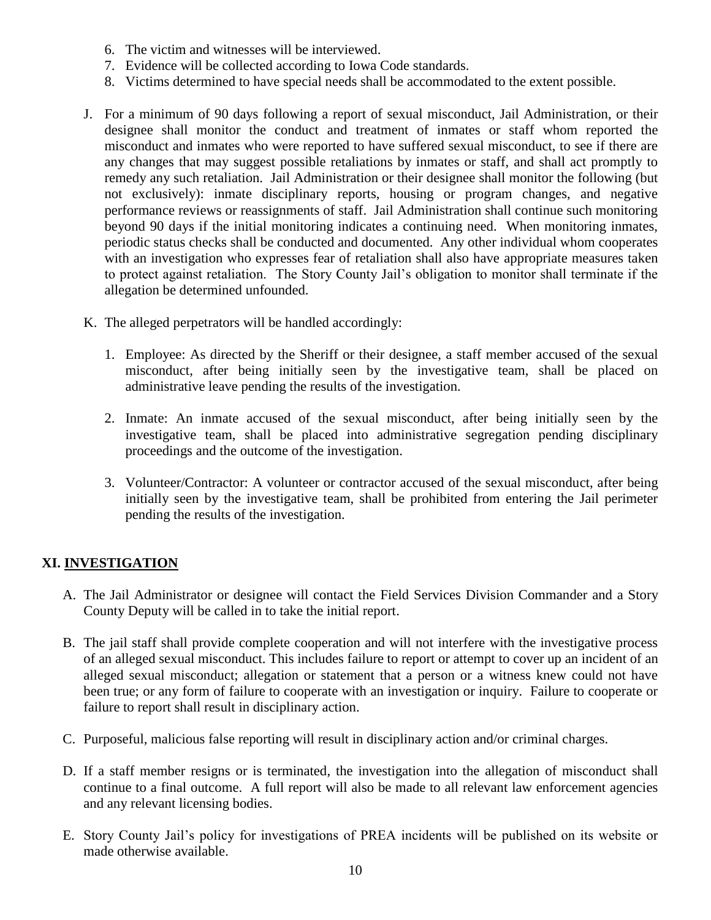- 6. The victim and witnesses will be interviewed.
- 7. Evidence will be collected according to Iowa Code standards.
- 8. Victims determined to have special needs shall be accommodated to the extent possible.
- J. For a minimum of 90 days following a report of sexual misconduct, Jail Administration, or their designee shall monitor the conduct and treatment of inmates or staff whom reported the misconduct and inmates who were reported to have suffered sexual misconduct, to see if there are any changes that may suggest possible retaliations by inmates or staff, and shall act promptly to remedy any such retaliation. Jail Administration or their designee shall monitor the following (but not exclusively): inmate disciplinary reports, housing or program changes, and negative performance reviews or reassignments of staff. Jail Administration shall continue such monitoring beyond 90 days if the initial monitoring indicates a continuing need. When monitoring inmates, periodic status checks shall be conducted and documented. Any other individual whom cooperates with an investigation who expresses fear of retaliation shall also have appropriate measures taken to protect against retaliation. The Story County Jail's obligation to monitor shall terminate if the allegation be determined unfounded.
- K. The alleged perpetrators will be handled accordingly:
	- 1. Employee: As directed by the Sheriff or their designee, a staff member accused of the sexual misconduct, after being initially seen by the investigative team, shall be placed on administrative leave pending the results of the investigation.
	- 2. Inmate: An inmate accused of the sexual misconduct, after being initially seen by the investigative team, shall be placed into administrative segregation pending disciplinary proceedings and the outcome of the investigation.
	- 3. Volunteer/Contractor: A volunteer or contractor accused of the sexual misconduct, after being initially seen by the investigative team, shall be prohibited from entering the Jail perimeter pending the results of the investigation.

# **XI. INVESTIGATION**

- A. The Jail Administrator or designee will contact the Field Services Division Commander and a Story County Deputy will be called in to take the initial report.
- B. The jail staff shall provide complete cooperation and will not interfere with the investigative process of an alleged sexual misconduct. This includes failure to report or attempt to cover up an incident of an alleged sexual misconduct; allegation or statement that a person or a witness knew could not have been true; or any form of failure to cooperate with an investigation or inquiry. Failure to cooperate or failure to report shall result in disciplinary action.
- C. Purposeful, malicious false reporting will result in disciplinary action and/or criminal charges.
- D. If a staff member resigns or is terminated, the investigation into the allegation of misconduct shall continue to a final outcome. A full report will also be made to all relevant law enforcement agencies and any relevant licensing bodies.
- E. Story County Jail's policy for investigations of PREA incidents will be published on its website or made otherwise available.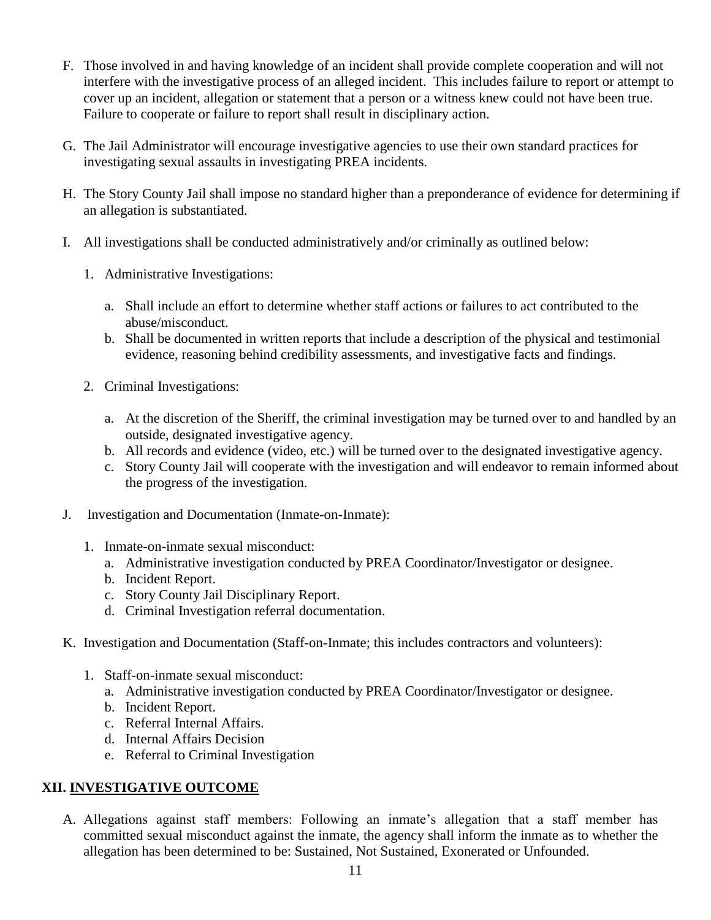- F. Those involved in and having knowledge of an incident shall provide complete cooperation and will not interfere with the investigative process of an alleged incident. This includes failure to report or attempt to cover up an incident, allegation or statement that a person or a witness knew could not have been true. Failure to cooperate or failure to report shall result in disciplinary action.
- G. The Jail Administrator will encourage investigative agencies to use their own standard practices for investigating sexual assaults in investigating PREA incidents.
- H. The Story County Jail shall impose no standard higher than a preponderance of evidence for determining if an allegation is substantiated.
- I. All investigations shall be conducted administratively and/or criminally as outlined below:
	- 1. Administrative Investigations:
		- a. Shall include an effort to determine whether staff actions or failures to act contributed to the abuse/misconduct.
		- b. Shall be documented in written reports that include a description of the physical and testimonial evidence, reasoning behind credibility assessments, and investigative facts and findings.
	- 2. Criminal Investigations:
		- a. At the discretion of the Sheriff, the criminal investigation may be turned over to and handled by an outside, designated investigative agency.
		- b. All records and evidence (video, etc.) will be turned over to the designated investigative agency.
		- c. Story County Jail will cooperate with the investigation and will endeavor to remain informed about the progress of the investigation.
- J. Investigation and Documentation (Inmate-on-Inmate):
	- 1. Inmate-on-inmate sexual misconduct:
		- a. Administrative investigation conducted by PREA Coordinator/Investigator or designee.
		- b. Incident Report.
		- c. Story County Jail Disciplinary Report.
		- d. Criminal Investigation referral documentation.
- K. Investigation and Documentation (Staff-on-Inmate; this includes contractors and volunteers):
	- 1. Staff-on-inmate sexual misconduct:
		- a. Administrative investigation conducted by PREA Coordinator/Investigator or designee.
		- b. Incident Report.
		- c. Referral Internal Affairs.
		- d. Internal Affairs Decision
		- e. Referral to Criminal Investigation

# **XII. INVESTIGATIVE OUTCOME**

A. Allegations against staff members: Following an inmate's allegation that a staff member has committed sexual misconduct against the inmate, the agency shall inform the inmate as to whether the allegation has been determined to be: Sustained, Not Sustained, Exonerated or Unfounded.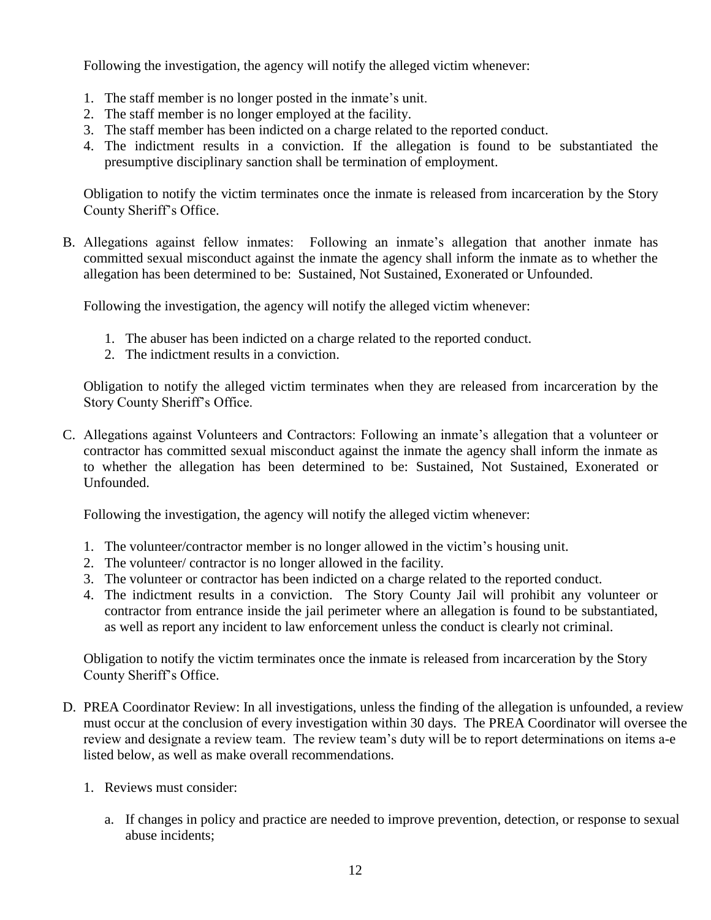Following the investigation, the agency will notify the alleged victim whenever:

- 1. The staff member is no longer posted in the inmate's unit.
- 2. The staff member is no longer employed at the facility.
- 3. The staff member has been indicted on a charge related to the reported conduct.
- 4. The indictment results in a conviction. If the allegation is found to be substantiated the presumptive disciplinary sanction shall be termination of employment.

Obligation to notify the victim terminates once the inmate is released from incarceration by the Story County Sheriff's Office.

B. Allegations against fellow inmates: Following an inmate's allegation that another inmate has committed sexual misconduct against the inmate the agency shall inform the inmate as to whether the allegation has been determined to be: Sustained, Not Sustained, Exonerated or Unfounded.

Following the investigation, the agency will notify the alleged victim whenever:

- 1. The abuser has been indicted on a charge related to the reported conduct.
- 2. The indictment results in a conviction.

Obligation to notify the alleged victim terminates when they are released from incarceration by the Story County Sheriff's Office.

C. Allegations against Volunteers and Contractors: Following an inmate's allegation that a volunteer or contractor has committed sexual misconduct against the inmate the agency shall inform the inmate as to whether the allegation has been determined to be: Sustained, Not Sustained, Exonerated or Unfounded.

Following the investigation, the agency will notify the alleged victim whenever:

- 1. The volunteer/contractor member is no longer allowed in the victim's housing unit.
- 2. The volunteer/ contractor is no longer allowed in the facility.
- 3. The volunteer or contractor has been indicted on a charge related to the reported conduct.
- 4. The indictment results in a conviction. The Story County Jail will prohibit any volunteer or contractor from entrance inside the jail perimeter where an allegation is found to be substantiated, as well as report any incident to law enforcement unless the conduct is clearly not criminal.

Obligation to notify the victim terminates once the inmate is released from incarceration by the Story County Sheriff's Office.

- D. PREA Coordinator Review: In all investigations, unless the finding of the allegation is unfounded, a review must occur at the conclusion of every investigation within 30 days. The PREA Coordinator will oversee the review and designate a review team. The review team's duty will be to report determinations on items a-e listed below, as well as make overall recommendations.
	- 1. Reviews must consider:
		- a. If changes in policy and practice are needed to improve prevention, detection, or response to sexual abuse incidents;